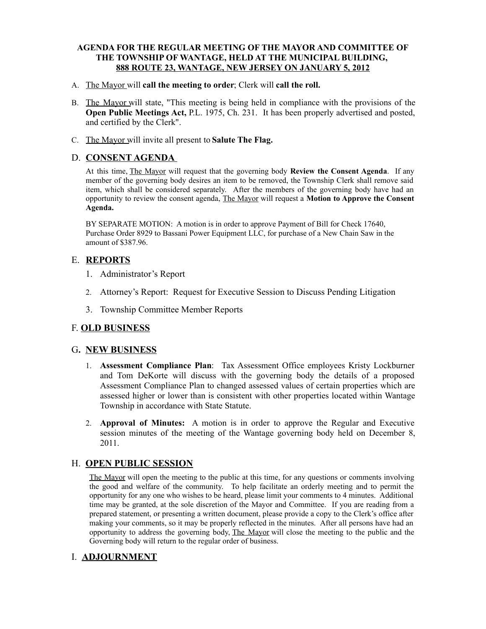#### **AGENDA FOR THE REGULAR MEETING OF THE MAYOR AND COMMITTEE OF THE TOWNSHIP OF WANTAGE, HELD AT THE MUNICIPAL BUILDING, 888 ROUTE 23, WANTAGE, NEW JERSEY ON JANUARY 5, 2012**

- A. The Mayor will **call the meeting to order**; Clerk will **call the roll.**
- B. The Mayor will state, "This meeting is being held in compliance with the provisions of the **Open Public Meetings Act, P.L. 1975, Ch. 231.** It has been properly advertised and posted, and certified by the Clerk".
- C. The Mayor will invite all present to **Salute The Flag.**

### D. **CONSENT AGENDA**

At this time, The Mayor will request that the governing body **Review the Consent Agenda**. If any member of the governing body desires an item to be removed, the Township Clerk shall remove said item, which shall be considered separately. After the members of the governing body have had an opportunity to review the consent agenda, The Mayor will request a **Motion to Approve the Consent Agenda.**

BY SEPARATE MOTION: A motion is in order to approve Payment of Bill for Check 17640, Purchase Order 8929 to Bassani Power Equipment LLC, for purchase of a New Chain Saw in the amount of \$387.96.

### E. **REPORTS**

- 1. Administrator's Report
- 2. Attorney's Report: Request for Executive Session to Discuss Pending Litigation
- 3. Township Committee Member Reports

# F. **OLD BUSINESS**

#### G**. NEW BUSINESS**

- 1. **Assessment Compliance Plan**: Tax Assessment Office employees Kristy Lockburner and Tom DeKorte will discuss with the governing body the details of a proposed Assessment Compliance Plan to changed assessed values of certain properties which are assessed higher or lower than is consistent with other properties located within Wantage Township in accordance with State Statute.
- 2. **Approval of Minutes:** A motion is in order to approve the Regular and Executive session minutes of the meeting of the Wantage governing body held on December 8, 2011.

# H. **OPEN PUBLIC SESSION**

The Mayor will open the meeting to the public at this time, for any questions or comments involving the good and welfare of the community. To help facilitate an orderly meeting and to permit the opportunity for any one who wishes to be heard, please limit your comments to 4 minutes. Additional time may be granted, at the sole discretion of the Mayor and Committee. If you are reading from a prepared statement, or presenting a written document, please provide a copy to the Clerk's office after making your comments, so it may be properly reflected in the minutes. After all persons have had an opportunity to address the governing body, The Mayor will close the meeting to the public and the Governing body will return to the regular order of business.

# I. **ADJOURNMENT**